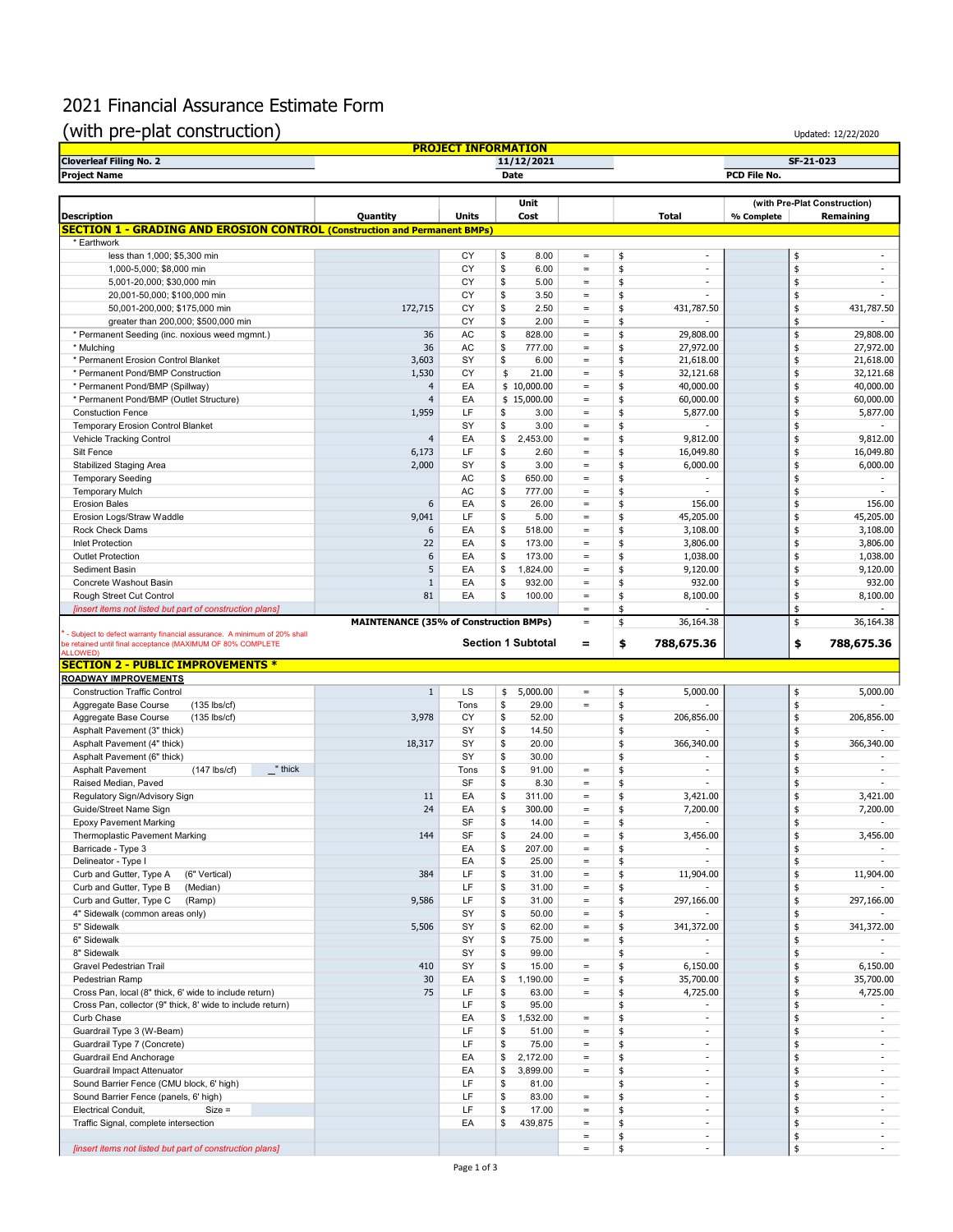## 2021 Financial Assurance Estimate Form

## (with pre-plat construction)  $\overline{U_{\text{D}}(x)}$

| <b>PROJECT INFORMATION</b>     |            |                              |  |  |  |  |  |  |  |
|--------------------------------|------------|------------------------------|--|--|--|--|--|--|--|
| <b>Cloverleaf Filing No. 2</b> | 11/12/2021 | SF-21-023                    |  |  |  |  |  |  |  |
| <b>Project Name</b>            | Date       | PCD File No.                 |  |  |  |  |  |  |  |
|                                |            |                              |  |  |  |  |  |  |  |
|                                | Unit       | (with Pre-Plat Construction) |  |  |  |  |  |  |  |

|                                                                                                                      |                                               |          | Unit                         |                      |          |                          |            | (with Pre-Plat Construction)       |
|----------------------------------------------------------------------------------------------------------------------|-----------------------------------------------|----------|------------------------------|----------------------|----------|--------------------------|------------|------------------------------------|
| <b>Description</b>                                                                                                   | Quantity                                      | Units    | Cost                         |                      |          | Total                    | % Complete | Remaining                          |
| <b>SECTION 1 - GRADING AND EROSION CONTROL (Construction and Permanent BMPs)</b>                                     |                                               |          |                              |                      |          |                          |            |                                    |
| * Earthwork<br>less than 1,000; \$5,300 min                                                                          |                                               | CY       | \$<br>8.00                   | $\equiv$             | \$       | $\sim$                   | \$         | ä,                                 |
| 1,000-5,000; \$8,000 min                                                                                             |                                               | CY       | \$<br>6.00                   | $\equiv$             | \$       | $\overline{a}$           | \$         | ÷.                                 |
| 5,001-20,000; \$30,000 min                                                                                           |                                               | CY       | 5.00<br>\$                   | $\equiv$             | \$       | ٠                        | \$         | ÷                                  |
| 20,001-50,000; \$100,000 min                                                                                         |                                               | CY       | \$<br>3.50                   | $=$                  | \$       | ٠                        | \$         | $\sim$                             |
| 50,001-200,000; \$175,000 min                                                                                        | 172,715                                       | CY       | \$<br>2.50                   | $\equiv$             | \$       | 431,787.50               | \$         | 431,787.50                         |
| greater than 200,000; \$500,000 min                                                                                  |                                               | CY       | 2.00<br>\$                   | $=$                  | \$       |                          | \$         |                                    |
| * Permanent Seeding (inc. noxious weed mgmnt.)                                                                       | 36                                            | AC       | \$<br>828.00                 | $\equiv$             | \$       | 29,808.00                | \$         | 29,808.00                          |
| * Mulching                                                                                                           | 36                                            | AC       | 777.00<br>\$                 | $\equiv$             | \$       | 27,972.00                | \$         | 27,972.00                          |
| * Permanent Erosion Control Blanket                                                                                  | 3,603                                         | SY       | \$<br>6.00                   | $\equiv$             | \$       | 21,618.00                | \$         | 21,618.00                          |
| * Permanent Pond/BMP Construction                                                                                    | 1,530                                         | CY       | \$<br>21.00                  | $\equiv$             | \$       | 32,121.68                | \$         | 32,121.68                          |
| * Permanent Pond/BMP (Spillway)                                                                                      | $\overline{4}$<br>$\overline{4}$              | EA       | \$10,000.00                  | $\equiv$<br>$=$      | \$       | 40,000.00                | \$         | 40,000.00                          |
| * Permanent Pond/BMP (Outlet Structure)<br><b>Constuction Fence</b>                                                  | 1,959                                         | EA<br>LF | \$15,000.00<br>3.00<br>\$    | $\equiv$             | \$<br>\$ | 60,000.00<br>5,877.00    | \$<br>\$   | 60,000.00<br>5,877.00              |
| <b>Temporary Erosion Control Blanket</b>                                                                             |                                               | SY       | \$<br>3.00                   | $\equiv$             | \$       | $\sim$                   | \$         | ÷                                  |
| Vehicle Tracking Control                                                                                             | $\overline{4}$                                | EA       | \$<br>2,453.00               | $\equiv$             | \$       | 9,812.00                 | \$         | 9,812.00                           |
| Silt Fence                                                                                                           | 6,173                                         | LF       | \$<br>2.60                   | $\equiv$             | \$       | 16,049.80                | \$         | 16,049.80                          |
| Stabilized Staging Area                                                                                              | 2,000                                         | SY       | \$<br>3.00                   | $\equiv$             | \$       | 6,000.00                 | \$         | 6,000.00                           |
| <b>Temporary Seeding</b>                                                                                             |                                               | AC       | 650.00<br>\$                 | $\equiv$             | \$       | ä,                       | \$         | ÷,                                 |
| <b>Temporary Mulch</b>                                                                                               |                                               | AC       | \$<br>777.00                 | $\equiv$             | \$       | $\sim$                   | \$         | $\sim$                             |
| <b>Erosion Bales</b>                                                                                                 | 6                                             | EA       | \$<br>26.00                  | $\equiv$             | \$       | 156.00                   | \$         | 156.00                             |
| Erosion Logs/Straw Waddle                                                                                            | 9,041                                         | LF       | 5.00<br>\$                   | $\equiv$             | \$       | 45,205.00                | \$         | 45,205.00                          |
| Rock Check Dams                                                                                                      | 6                                             | EA       | \$<br>518.00                 | $\equiv$             | \$       | 3,108.00                 | \$         | 3,108.00                           |
| <b>Inlet Protection</b>                                                                                              | 22                                            | EA       | \$<br>173.00                 | $\equiv$             | \$       | 3,806.00                 | \$         | 3,806.00                           |
| <b>Outlet Protection</b>                                                                                             | 6                                             | EA       | \$<br>173.00                 | $=$                  | \$       | 1,038.00                 | \$         | 1,038.00                           |
| Sediment Basin                                                                                                       | 5<br>$1\,$                                    | EA<br>EA | \$<br>1,824.00<br>932.00     | $\equiv$<br>$\equiv$ | \$       | 9,120.00<br>932.00       | \$         | 9,120.00<br>932.00                 |
| Concrete Washout Basin<br>Rough Street Cut Control                                                                   | 81                                            | EA       | \$<br>\$<br>100.00           | $\equiv$             | \$<br>\$ | 8,100.00                 | \$<br>\$   | 8,100.00                           |
| [insert items not listed but part of construction plans]                                                             |                                               |          |                              | $\equiv$             | \$       |                          | \$         |                                    |
|                                                                                                                      | <b>MAINTENANCE (35% of Construction BMPs)</b> |          |                              | $\equiv$             | \$       | 36,164.38                | \$         | 36,164.38                          |
| Subject to defect warranty financial assurance. A minimum of 20% shall                                               |                                               |          |                              |                      |          |                          |            |                                    |
| be retained until final acceptance (MAXIMUM OF 80% COMPLETE<br>LLOWED)                                               |                                               |          | <b>Section 1 Subtotal</b>    | $\equiv$             | \$       | 788,675.36               | \$         | 788,675.36                         |
| <b>SECTION 2 - PUBLIC IMPROVEMENTS *</b>                                                                             |                                               |          |                              |                      |          |                          |            |                                    |
| <b>ROADWAY IMPROVEMENTS</b>                                                                                          |                                               |          |                              |                      |          |                          |            |                                    |
| <b>Construction Traffic Control</b>                                                                                  | $\mathbf{1}$                                  | LS       | 5,000.00<br>\$               | $=$                  | \$       | 5,000.00                 | \$         | 5,000.00                           |
| Aggregate Base Course<br>$(135$ lbs/cf)                                                                              |                                               | Tons     | \$<br>29.00                  | $\equiv$             | \$       |                          | \$         |                                    |
| Aggregate Base Course<br>$(135$ lbs/cf)                                                                              | 3,978                                         | CY       | \$<br>52.00                  |                      | \$       | 206,856.00               | \$         | 206,856.00                         |
| Asphalt Pavement (3" thick)                                                                                          |                                               | SY       | 14.50<br>\$                  |                      | \$       |                          | \$         |                                    |
| Asphalt Pavement (4" thick)                                                                                          | 18,317                                        | SY       | \$<br>20.00                  |                      | \$       | 366,340.00               | \$         | 366,340.00                         |
| Asphalt Pavement (6" thick)                                                                                          |                                               | SY       | \$<br>30.00                  |                      | \$       |                          | \$         | ÷,                                 |
| $\mathbf{r}$ " thick<br><b>Asphalt Pavement</b><br>$(147$ lbs/cf)                                                    |                                               | Tons     | \$<br>91.00                  | $\equiv$             | \$       | ÷                        | \$         | ٠                                  |
| Raised Median, Paved                                                                                                 |                                               | SF       | \$<br>8.30                   | $\equiv$             | \$       | ä,                       | \$         | ÷                                  |
| Regulatory Sign/Advisory Sign<br>Guide/Street Name Sign                                                              | 11<br>24                                      | EA<br>EA | \$<br>311.00<br>\$<br>300.00 | $\equiv$<br>$\equiv$ | \$<br>\$ | 3,421.00<br>7,200.00     | \$<br>\$   | 3,421.00<br>7,200.00               |
| <b>Epoxy Pavement Marking</b>                                                                                        |                                               | SF       | \$<br>14.00                  | $\equiv$             | \$       |                          | \$         | ÷.                                 |
| Thermoplastic Pavement Marking                                                                                       | 144                                           | SF       | \$<br>24.00                  | $\equiv$             | \$       | 3,456.00                 | \$         | 3,456.00                           |
| Barricade - Type 3                                                                                                   |                                               | EA       | \$<br>207.00                 | $\equiv$             | \$       | $\overline{\phantom{m}}$ | \$         | $\sim$                             |
| Delineator - Type I                                                                                                  |                                               | EA       | \$<br>25.00                  | $\equiv$             | \$       |                          | \$         |                                    |
| Curb and Gutter, Type A<br>(6" Vertical)                                                                             | 384                                           | LF       | \$<br>31.00                  | $=$                  | \$       | 11,904.00                | \$         | 11,904.00                          |
| Curb and Gutter, Type B<br>(Median)                                                                                  |                                               | LF       | \$<br>31.00                  | $\equiv$             | \$       |                          | \$         |                                    |
| Curb and Gutter, Type C (Ramp)                                                                                       | 9,586                                         | LF       | \$<br>31.00                  | $\equiv$             | \$       | 297,166.00               | \$         | 297,166.00                         |
| 4" Sidewalk (common areas only)                                                                                      |                                               | SY       | \$<br>50.00                  | $=$                  | \$       |                          | \$         |                                    |
| 5" Sidewalk                                                                                                          | 5,506                                         | SY       | \$<br>62.00                  | $=$                  | \$       | 341,372.00               | \$         | 341,372.00                         |
| 6" Sidewalk                                                                                                          |                                               | SY       | \$<br>75.00                  | $=$                  | \$       |                          | \$         |                                    |
| 8" Sidewalk                                                                                                          |                                               | SY       | \$<br>99.00                  |                      | \$       | $\overline{\phantom{a}}$ | \$         |                                    |
| Gravel Pedestrian Trail                                                                                              | 410                                           | SY       | \$<br>15.00                  | $\equiv$             | \$       | 6,150.00                 | \$         | 6,150.00                           |
| Pedestrian Ramp                                                                                                      | 30<br>75                                      | EA<br>LF | \$<br>1,190.00<br>\$         | $=$<br>$=$           | \$       | 35,700.00                | \$         | 35,700.00                          |
| Cross Pan, local (8" thick, 6' wide to include return)<br>Cross Pan, collector (9" thick, 8' wide to include return) |                                               | LF       | 63.00<br>\$<br>95.00         |                      | \$<br>\$ | 4,725.00                 | \$<br>\$   | 4,725.00                           |
| Curb Chase                                                                                                           |                                               | EA       | 1,532.00<br>\$               | $=$                  | \$       | $\overline{\phantom{a}}$ | \$         | $\sim$                             |
| Guardrail Type 3 (W-Beam)                                                                                            |                                               | LF       | \$<br>51.00                  | $\equiv$             | \$       | $\overline{\phantom{a}}$ | \$         | $\sim$                             |
| Guardrail Type 7 (Concrete)                                                                                          |                                               | LF       | \$<br>75.00                  | $=$                  | \$       | $\blacksquare$           | \$         | $\overline{\phantom{a}}$           |
| Guardrail End Anchorage                                                                                              |                                               | EA       | 2,172.00<br>\$               | $=$                  | \$       | $\overline{\phantom{a}}$ | \$         | $\overline{\phantom{0}}$           |
| Guardrail Impact Attenuator                                                                                          |                                               | EA       | \$<br>3,899.00               | $=$                  | \$       | ٠                        | \$         | $\sim$                             |
| Sound Barrier Fence (CMU block, 6' high)                                                                             |                                               | LF       | \$<br>81.00                  |                      | \$       | $\overline{\phantom{a}}$ | \$         | $\overline{\phantom{0}}$           |
| Sound Barrier Fence (panels, 6' high)                                                                                |                                               | LF       | \$<br>83.00                  | $=$                  | \$       | $\overline{\phantom{a}}$ | \$         | $\overline{\phantom{0}}$           |
| Electrical Conduit,<br>$Size =$                                                                                      |                                               | LF       | \$<br>17.00                  | $=$                  | \$       | $\sim$                   | \$         | $\sim$                             |
| Traffic Signal, complete intersection                                                                                |                                               | EA       | \$<br>439,875                | $=$                  | \$       | $\overline{\phantom{a}}$ | \$         | $\overline{\phantom{0}}$           |
|                                                                                                                      |                                               |          |                              |                      |          |                          |            |                                    |
| [insert items not listed but part of construction plans]                                                             |                                               |          |                              | $=$<br>$=$           | \$<br>\$ | ٠<br>÷,                  | \$<br>\$   | $\sim$<br>$\overline{\phantom{0}}$ |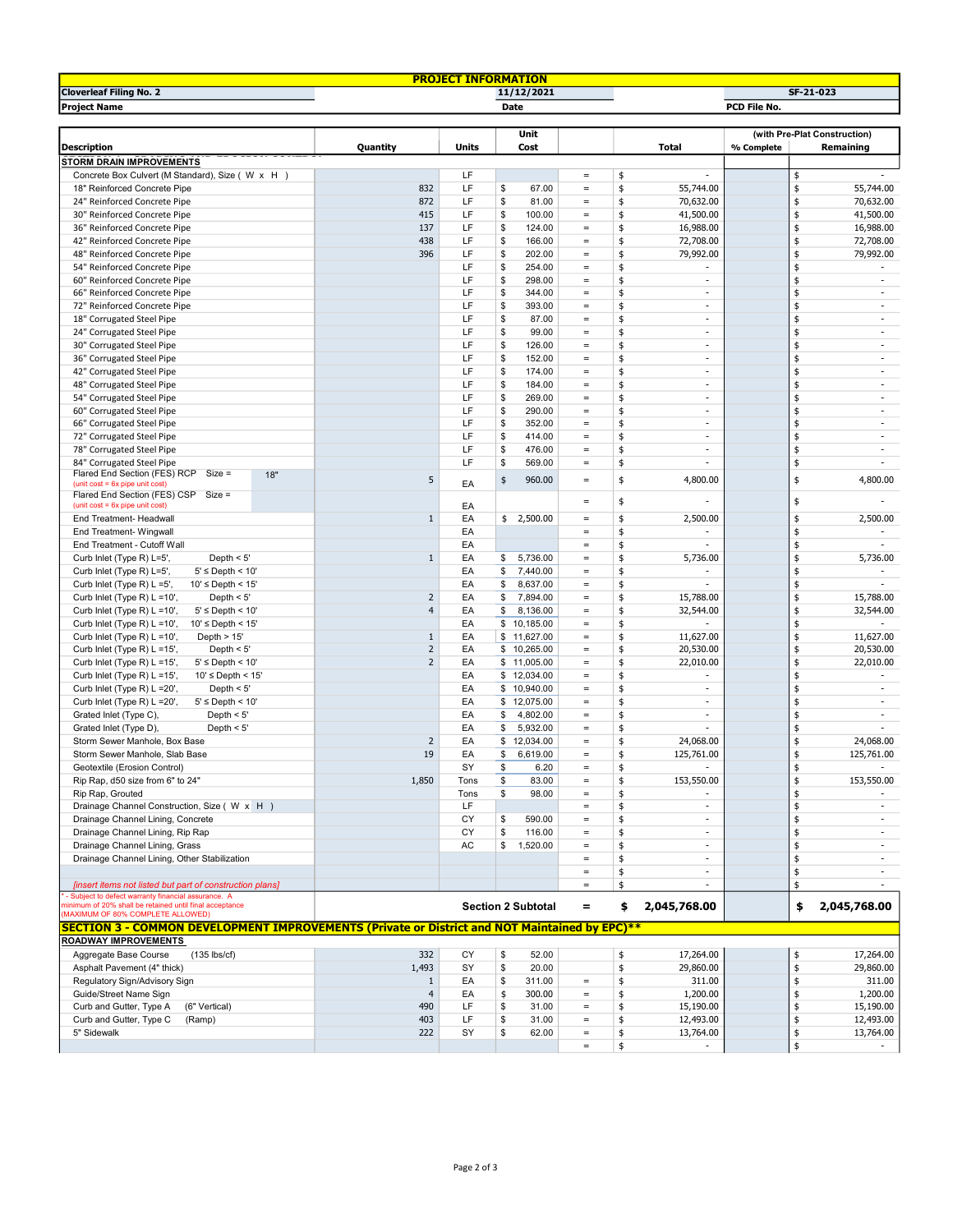| <b>PROJECT INFORMATION</b>                                                                    |                         |           |                           |                   |                                |                                |  |  |  |
|-----------------------------------------------------------------------------------------------|-------------------------|-----------|---------------------------|-------------------|--------------------------------|--------------------------------|--|--|--|
| <b>Cloverleaf Filing No. 2</b>                                                                | 11/12/2021<br>SF-21-023 |           |                           |                   |                                |                                |  |  |  |
| <b>Project Name</b>                                                                           |                         |           | Date                      |                   |                                | PCD File No.                   |  |  |  |
|                                                                                               |                         |           |                           |                   |                                |                                |  |  |  |
|                                                                                               |                         |           | Unit                      |                   |                                | (with Pre-Plat Construction)   |  |  |  |
| <b>Description</b>                                                                            | Quantity                | Units     | Cost                      |                   | <b>Total</b>                   | % Complete<br>Remaining        |  |  |  |
| <b>STORM DRAIN IMPROVEMENTS</b>                                                               |                         |           |                           |                   |                                |                                |  |  |  |
| Concrete Box Culvert (M Standard), Size ( W x H )                                             |                         | LF        |                           | $=$               | \$                             | \$                             |  |  |  |
| 18" Reinforced Concrete Pipe                                                                  | 832                     | LF        | \$<br>67.00               | $\equiv$          | \$<br>55,744.00                | \$<br>55,744.00                |  |  |  |
| 24" Reinforced Concrete Pipe                                                                  | 872                     | LF        | \$<br>81.00               | $=$               | \$<br>70,632.00                | \$<br>70,632.00                |  |  |  |
| 30" Reinforced Concrete Pipe                                                                  | 415                     | LF        | \$<br>100.00              | $\equiv$          | \$<br>41,500.00                | \$<br>41,500.00                |  |  |  |
| 36" Reinforced Concrete Pipe                                                                  | 137                     | LF        | \$<br>124.00              | $=$               | \$<br>16,988.00                | \$<br>16,988.00                |  |  |  |
| 42" Reinforced Concrete Pipe                                                                  | 438                     | LF        | \$<br>166.00              | $=$               | \$<br>72,708.00                | \$<br>72,708.00                |  |  |  |
| 48" Reinforced Concrete Pipe                                                                  | 396                     | LF        | \$<br>202.00              | $\equiv$          | \$<br>79,992.00                | \$<br>79,992.00                |  |  |  |
| 54" Reinforced Concrete Pipe                                                                  |                         | LF        | \$<br>254.00              | $\equiv$          | \$                             | \$                             |  |  |  |
| 60" Reinforced Concrete Pipe                                                                  |                         | LF        | \$<br>298.00              | $\equiv$          | \$<br>$\overline{\phantom{a}}$ | \$<br>$\overline{\phantom{a}}$ |  |  |  |
| 66" Reinforced Concrete Pipe                                                                  |                         | LF        | \$<br>344.00              | $\quad \  \  =$   | \$<br>$\overline{\phantom{a}}$ | \$<br>٠                        |  |  |  |
| 72" Reinforced Concrete Pipe                                                                  |                         | LF        | \$<br>393.00              | $\equiv$          | \$<br>$\sim$                   | \$<br>÷                        |  |  |  |
| 18" Corrugated Steel Pipe                                                                     |                         | LF        | \$<br>87.00               | $\equiv$          | \$<br>$\overline{\phantom{a}}$ | \$<br>٠                        |  |  |  |
| 24" Corrugated Steel Pipe                                                                     |                         | LF        | \$<br>99.00               | $=$               | \$<br>$\overline{\phantom{a}}$ | \$<br>$\sim$                   |  |  |  |
| 30" Corrugated Steel Pipe                                                                     |                         | LF        | \$<br>126.00              | $\equiv$          | \$<br>$\overline{\phantom{a}}$ | \$<br>$\overline{\phantom{a}}$ |  |  |  |
| 36" Corrugated Steel Pipe                                                                     |                         | LF        | \$<br>152.00              | $=$               | \$<br>$\overline{\phantom{a}}$ | \$<br>$\sim$                   |  |  |  |
| 42" Corrugated Steel Pipe                                                                     |                         | LF        | \$<br>174.00              | $\equiv$          | \$<br>$\overline{\phantom{a}}$ | \$<br>$\overline{\phantom{a}}$ |  |  |  |
| 48" Corrugated Steel Pipe                                                                     |                         | LF        | \$<br>184.00              | $\equiv$          | \$<br>$\overline{a}$           | \$<br>٠                        |  |  |  |
| 54" Corrugated Steel Pipe                                                                     |                         | LF        | \$<br>269.00              | $=$               | \$<br>$\overline{\phantom{a}}$ | \$<br>÷.                       |  |  |  |
| 60" Corrugated Steel Pipe                                                                     |                         | LF        | \$<br>290.00              | $=$               | \$<br>$\overline{\phantom{a}}$ | \$<br>$\overline{\phantom{a}}$ |  |  |  |
| 66" Corrugated Steel Pipe                                                                     |                         | LF        | \$<br>352.00              | $=$               | \$<br>$\overline{\phantom{a}}$ | \$<br>$\sim$                   |  |  |  |
| 72" Corrugated Steel Pipe                                                                     |                         | LF        | \$<br>414.00              | $=$               | \$<br>$\overline{\phantom{a}}$ | \$<br>٠                        |  |  |  |
| 78" Corrugated Steel Pipe                                                                     |                         | LF        | \$<br>476.00              | $\equiv$          | \$<br>$\overline{\phantom{a}}$ | \$<br>$\overline{\phantom{a}}$ |  |  |  |
| 84" Corrugated Steel Pipe                                                                     |                         | LF        | \$<br>569.00              | $\equiv$          | \$<br>$\sim$                   | \$<br>÷.                       |  |  |  |
| Flared End Section (FES) RCP Size =<br>18"                                                    |                         |           |                           |                   |                                |                                |  |  |  |
| (unit $cost = 6x$ pipe unit $cost$ )                                                          | 5                       | EA        | \$<br>960.00              | $\qquad \qquad =$ | \$<br>4,800.00                 | \$<br>4,800.00                 |  |  |  |
| Flared End Section (FES) CSP Size =                                                           |                         |           |                           | $\equiv$          | \$                             | \$                             |  |  |  |
| (unit $cost = 6x$ pipe unit $cost$ )                                                          |                         | EA        |                           |                   |                                |                                |  |  |  |
| End Treatment- Headwall                                                                       | $\mathbf{1}$            | EA        | \$<br>2,500.00            | $=$               | \$<br>2,500.00                 | \$<br>2,500.00                 |  |  |  |
| End Treatment- Wingwall                                                                       |                         | EA        |                           | $\equiv$          | \$                             | \$                             |  |  |  |
| End Treatment - Cutoff Wall                                                                   |                         | EA        |                           | $\quad =$         | \$<br>$\overline{\phantom{a}}$ | \$<br>$\sim$                   |  |  |  |
| Curb Inlet (Type R) L=5',<br>Depth $<$ 5'                                                     | $\mathbf{1}$            | EA        | \$<br>5,736.00            | $\equiv$          | 5,736.00<br>\$                 | \$<br>5,736.00                 |  |  |  |
| Curb Inlet (Type R) L=5',<br>$5' \leq$ Depth < 10'                                            |                         | EA        | \$<br>7,440.00            | $\equiv$          | \$                             | \$                             |  |  |  |
| Curb Inlet (Type R) L =5',<br>$10' \leq$ Depth < 15'                                          |                         | EA        | \$<br>8,637.00            | $=$               | \$<br>$\sim$                   | \$<br>÷                        |  |  |  |
| Curb Inlet (Type R) L =10',<br>Depth $<$ 5'                                                   | $\overline{2}$          | EA        | \$<br>7,894.00            | $\equiv$          | \$<br>15,788.00                | \$<br>15,788.00                |  |  |  |
| Curb Inlet (Type R) L =10',<br>$5' \leq$ Depth < 10'                                          | $\overline{4}$          | EA        | \$<br>8,136.00            | $\quad \  \  =$   | \$<br>32,544.00                | \$<br>32,544.00                |  |  |  |
| Curb Inlet (Type R) L =10',<br>$10' \leq$ Depth < $15'$                                       |                         | EA        | \$10,185.00               | $=$               | \$                             | \$                             |  |  |  |
| Curb Inlet (Type R) L =10',<br>Depth $> 15$                                                   | $\mathbf{1}$            | EA        | \$<br>11,627.00           | $\equiv$          | \$<br>11,627.00                | \$<br>11,627.00                |  |  |  |
| Depth $<$ 5'<br>Curb Inlet (Type R) L =15',                                                   | $\overline{2}$          | EA        | \$10,265.00               | $=$               | \$<br>20,530.00                | \$<br>20,530.00                |  |  |  |
| Curb Inlet (Type R) L =15',<br>$5' \leq$ Depth < 10'                                          | $\overline{2}$          | EA        | \$11,005.00               | $=$               | \$<br>22,010.00                | \$<br>22,010.00                |  |  |  |
| Curb Inlet (Type R) L =15',<br>$10' \leq$ Depth < 15'                                         |                         | EA        | \$12,034.00               | $=$               | \$<br>$\overline{\phantom{a}}$ | \$<br>$\sim$                   |  |  |  |
| Curb Inlet (Type R) L =20',<br>Depth $<$ 5'                                                   |                         | EA        | \$10,940.00               | $\equiv$          | \$<br>$\overline{\phantom{a}}$ | \$<br>÷                        |  |  |  |
| Curb Inlet (Type R) L =20',<br>$5' \leq$ Depth < 10'                                          |                         | EA        | \$<br>12,075.00           | $\equiv$          | \$<br>$\overline{\phantom{a}}$ | \$<br>÷                        |  |  |  |
| Grated Inlet (Type C),<br>Depth $<$ 5'                                                        |                         | EA        | \$<br>4,802.00            | $=$               | \$<br>$\overline{\phantom{a}}$ | \$<br>٠                        |  |  |  |
| Grated Inlet (Type D),<br>Depth $< 5'$                                                        |                         | EA        | \$<br>5,932.00            | $=$               | \$<br>$\overline{\phantom{a}}$ | \$<br>$\overline{\phantom{a}}$ |  |  |  |
| Storm Sewer Manhole, Box Base                                                                 | $\overline{2}$          | EA        | \$<br>12,034.00           | $=$               | \$<br>24,068.00                | \$<br>24,068.00                |  |  |  |
| Storm Sewer Manhole, Slab Base                                                                | 19                      | EA        | \$<br>6,619.00            | $=$               | 125,761.00<br>\$               | \$<br>125,761.00               |  |  |  |
| Geotextile (Erosion Control)                                                                  |                         | SY        | \$<br>6.20                |                   |                                |                                |  |  |  |
| Rip Rap, d50 size from 6" to 24"                                                              | 1,850                   | Tons      | \$<br>83.00               | $=$               | \$<br>153,550.00               | \$<br>153,550.00               |  |  |  |
| Rip Rap, Grouted                                                                              |                         | Tons      | \$<br>98.00               | $=$               | \$                             | \$                             |  |  |  |
| Drainage Channel Construction, Size (W x H)                                                   |                         | LF        |                           | $=$               | \$<br>$\overline{\phantom{a}}$ | \$<br>$\sim$                   |  |  |  |
| Drainage Channel Lining, Concrete                                                             |                         | CY        | 590.00<br>\$              | $\equiv$          | \$<br>$\overline{\phantom{a}}$ | \$<br>٠                        |  |  |  |
| Drainage Channel Lining, Rip Rap                                                              |                         | СY        | \$<br>116.00              | $\equiv$          | \$<br>٠                        | \$<br>٠                        |  |  |  |
| Drainage Channel Lining, Grass                                                                |                         | AC        | \$<br>1,520.00            | $\equiv$          | \$<br>$\overline{\phantom{a}}$ | \$<br>٠                        |  |  |  |
| Drainage Channel Lining, Other Stabilization                                                  |                         |           |                           | $\equiv$          | \$<br>$\overline{\phantom{a}}$ | \$                             |  |  |  |
|                                                                                               |                         |           |                           | $\equiv$          | \$<br>$\overline{\phantom{a}}$ | \$<br>$\sim$                   |  |  |  |
| [insert items not listed but part of construction plans]                                      |                         |           |                           | $\equiv$          | \$                             | \$                             |  |  |  |
| - Subject to defect warranty financial assurance. A                                           |                         |           |                           |                   |                                |                                |  |  |  |
| minimum of 20% shall be retained until final acceptance                                       |                         |           | <b>Section 2 Subtotal</b> | $=$               | 2,045,768.00<br>\$             | 2,045,768.00<br>\$             |  |  |  |
| MAXIMUM OF 80% COMPLETE ALLOWED)                                                              |                         |           |                           |                   |                                |                                |  |  |  |
| SECTION 3 - COMMON DEVELOPMENT IMPROVEMENTS (Private or District and NOT Maintained by EPC)** |                         |           |                           |                   |                                |                                |  |  |  |
| <b>ROADWAY IMPROVEMENTS</b>                                                                   |                         |           |                           |                   |                                |                                |  |  |  |
| Aggregate Base Course<br>$(135$ lbs/cf)                                                       | 332                     | <b>CY</b> | \$<br>52.00               |                   | 17,264.00<br>\$                | 17,264.00<br>\$                |  |  |  |
| Asphalt Pavement (4" thick)                                                                   | 1,493                   | SY        | \$<br>20.00               |                   | \$<br>29,860.00                | \$<br>29,860.00                |  |  |  |
| Regulatory Sign/Advisory Sign                                                                 | $\mathbf{1}$            | EA        | \$<br>311.00              | $\equiv$          | 311.00<br>\$                   | 311.00<br>\$                   |  |  |  |
| Guide/Street Name Sign                                                                        | $\overline{4}$          | EA        | \$<br>300.00              | $\qquad \qquad =$ | \$<br>1,200.00                 | \$<br>1,200.00                 |  |  |  |
| Curb and Gutter, Type A<br>(6" Vertical)                                                      | 490                     | LF        | \$<br>31.00               | $\equiv$          | \$<br>15,190.00                | 15,190.00<br>\$                |  |  |  |
| Curb and Gutter, Type C<br>(Ramp)                                                             | 403                     | LF        | \$<br>31.00               | $=$               | \$<br>12,493.00                | \$<br>12,493.00                |  |  |  |
| 5" Sidewalk                                                                                   | 222                     | SY        | \$<br>62.00               | $=$               | \$<br>13,764.00                | \$<br>13,764.00                |  |  |  |
|                                                                                               |                         |           |                           | $\equiv$          | \$                             | \$                             |  |  |  |